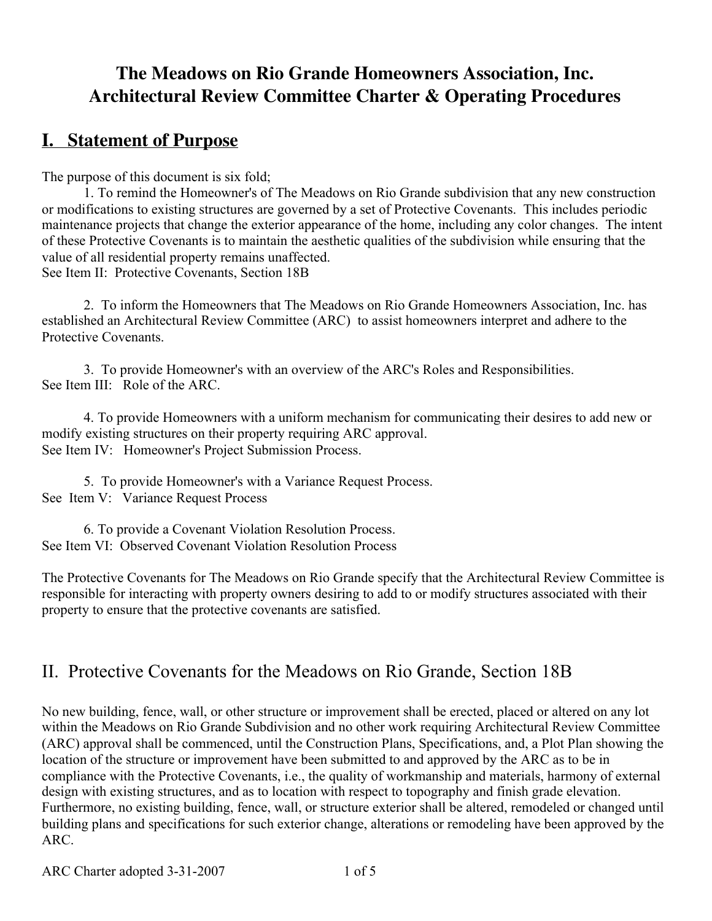# **The Meadows on Rio Grande Homeowners Association, Inc. Architectural Review Committee Charter & Operating Procedures**

# **I. Statement of Purpose**

The purpose of this document is six fold;

1. To remind the Homeowner's of The Meadows on Rio Grande subdivision that any new construction or modifications to existing structures are governed by a set of Protective Covenants. This includes periodic maintenance projects that change the exterior appearance of the home, including any color changes. The intent of these Protective Covenants is to maintain the aesthetic qualities of the subdivision while ensuring that the value of all residential property remains unaffected. See Item II: Protective Covenants, Section 18B

2. To inform the Homeowners that The Meadows on Rio Grande Homeowners Association, Inc. has established an Architectural Review Committee (ARC) to assist homeowners interpret and adhere to the Protective Covenants.

3. To provide Homeowner's with an overview of the ARC's Roles and Responsibilities. See Item III: Role of the ARC.

4. To provide Homeowners with a uniform mechanism for communicating their desires to add new or modify existing structures on their property requiring ARC approval. See Item IV: Homeowner's Project Submission Process.

5. To provide Homeowner's with a Variance Request Process. See Item V: Variance Request Process

6. To provide a Covenant Violation Resolution Process. See Item VI: Observed Covenant Violation Resolution Process

The Protective Covenants for The Meadows on Rio Grande specify that the Architectural Review Committee is responsible for interacting with property owners desiring to add to or modify structures associated with their property to ensure that the protective covenants are satisfied.

# II. Protective Covenants for the Meadows on Rio Grande, Section 18B

No new building, fence, wall, or other structure or improvement shall be erected, placed or altered on any lot within the Meadows on Rio Grande Subdivision and no other work requiring Architectural Review Committee (ARC) approval shall be commenced, until the Construction Plans, Specifications, and, a Plot Plan showing the location of the structure or improvement have been submitted to and approved by the ARC as to be in compliance with the Protective Covenants, i.e., the quality of workmanship and materials, harmony of external design with existing structures, and as to location with respect to topography and finish grade elevation. Furthermore, no existing building, fence, wall, or structure exterior shall be altered, remodeled or changed until building plans and specifications for such exterior change, alterations or remodeling have been approved by the ARC.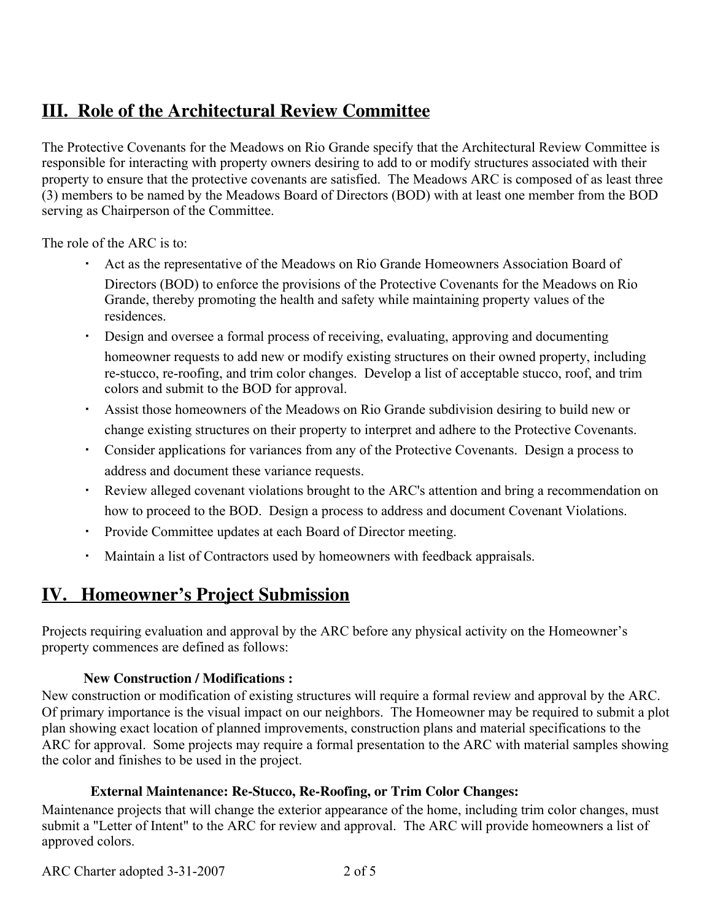# **III. Role of the Architectural Review Committee**

The Protective Covenants for the Meadows on Rio Grande specify that the Architectural Review Committee is responsible for interacting with property owners desiring to add to or modify structures associated with their property to ensure that the protective covenants are satisfied. The Meadows ARC is composed of as least three (3) members to be named by the Meadows Board of Directors (BOD) with at least one member from the BOD serving as Chairperson of the Committee.

The role of the ARC is to:

- Act as the representative of the Meadows on Rio Grande Homeowners Association Board of Directors (BOD) to enforce the provisions of the Protective Covenants for the Meadows on Rio Grande, thereby promoting the health and safety while maintaining property values of the residences.
- Design and oversee a formal process of receiving, evaluating, approving and documenting homeowner requests to add new or modify existing structures on their owned property, including re-stucco, re-roofing, and trim color changes. Develop a list of acceptable stucco, roof, and trim colors and submit to the BOD for approval.
- Assist those homeowners of the Meadows on Rio Grande subdivision desiring to build new or change existing structures on their property to interpret and adhere to the Protective Covenants.
- Consider applications for variances from any of the Protective Covenants. Design a process to address and document these variance requests.
- Review alleged covenant violations brought to the ARC's attention and bring a recommendation on how to proceed to the BOD. Design a process to address and document Covenant Violations.
- Provide Committee updates at each Board of Director meeting.
- Maintain a list of Contractors used by homeowners with feedback appraisals.

# **IV. Homeowner's Project Submission**

Projects requiring evaluation and approval by the ARC before any physical activity on the Homeowner's property commences are defined as follows:

# **New Construction / Modifications :**

New construction or modification of existing structures will require a formal review and approval by the ARC. Of primary importance is the visual impact on our neighbors. The Homeowner may be required to submit a plot plan showing exact location of planned improvements, construction plans and material specifications to the ARC for approval. Some projects may require a formal presentation to the ARC with material samples showing the color and finishes to be used in the project.

# **External Maintenance: Re-Stucco, Re-Roofing, or Trim Color Changes:**

Maintenance projects that will change the exterior appearance of the home, including trim color changes, must submit a "Letter of Intent" to the ARC for review and approval. The ARC will provide homeowners a list of approved colors.

ARC Charter adopted 3-31-2007 2 of 5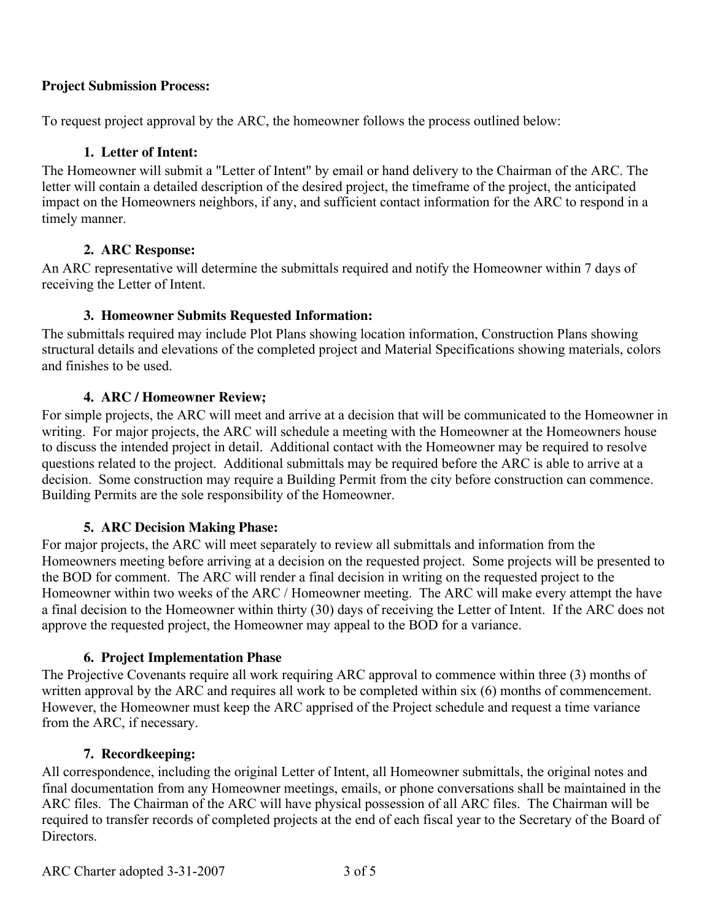### **Project Submission Process:**

To request project approval by the ARC, the homeowner follows the process outlined below:

### **1. Letter of Intent:**

The Homeowner will submit a "Letter of Intent" by email or hand delivery to the Chairman of the ARC. The letter will contain a detailed description of the desired project, the timeframe of the project, the anticipated impact on the Homeowners neighbors, if any, and sufficient contact information for the ARC to respond in a timely manner.

### **2. ARC Response:**

An ARC representative will determine the submittals required and notify the Homeowner within 7 days of receiving the Letter of Intent.

### **3. Homeowner Submits Requested Information:**

The submittals required may include Plot Plans showing location information, Construction Plans showing structural details and elevations of the completed project and Material Specifications showing materials, colors and finishes to be used.

### **4. ARC / Homeowner Review;**

For simple projects, the ARC will meet and arrive at a decision that will be communicated to the Homeowner in writing. For major projects, the ARC will schedule a meeting with the Homeowner at the Homeowners house to discuss the intended project in detail. Additional contact with the Homeowner may be required to resolve questions related to the project. Additional submittals may be required before the ARC is able to arrive at a decision. Some construction may require a Building Permit from the city before construction can commence. Building Permits are the sole responsibility of the Homeowner.

### **5. ARC Decision Making Phase:**

For major projects, the ARC will meet separately to review all submittals and information from the Homeowners meeting before arriving at a decision on the requested project. Some projects will be presented to the BOD for comment. The ARC will render a final decision in writing on the requested project to the Homeowner within two weeks of the ARC / Homeowner meeting. The ARC will make every attempt the have a final decision to the Homeowner within thirty (30) days of receiving the Letter of Intent. If the ARC does not approve the requested project, the Homeowner may appeal to the BOD for a variance.

### **6. Project Implementation Phase**

The Projective Covenants require all work requiring ARC approval to commence within three (3) months of written approval by the ARC and requires all work to be completed within six (6) months of commencement. However, the Homeowner must keep the ARC apprised of the Project schedule and request a time variance from the ARC, if necessary.

#### **7. Recordkeeping:**

All correspondence, including the original Letter of Intent, all Homeowner submittals, the original notes and final documentation from any Homeowner meetings, emails, or phone conversations shall be maintained in the ARC files. The Chairman of the ARC will have physical possession of all ARC files. The Chairman will be required to transfer records of completed projects at the end of each fiscal year to the Secretary of the Board of **Directors**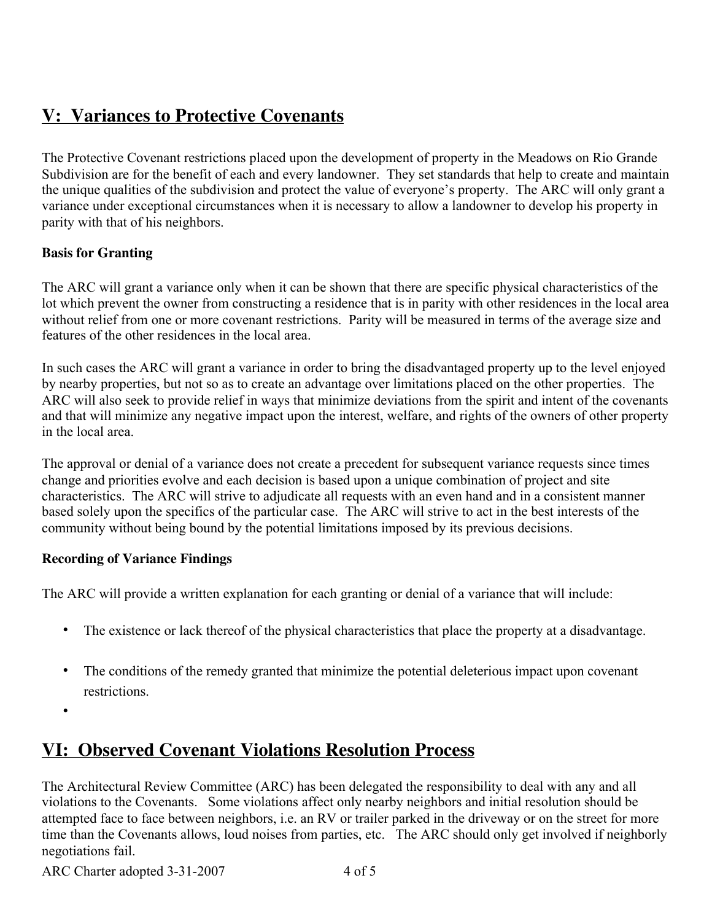# **V: Variances to Protective Covenants**

The Protective Covenant restrictions placed upon the development of property in the Meadows on Rio Grande Subdivision are for the benefit of each and every landowner. They set standards that help to create and maintain the unique qualities of the subdivision and protect the value of everyone's property. The ARC will only grant a variance under exceptional circumstances when it is necessary to allow a landowner to develop his property in parity with that of his neighbors.

# **Basis for Granting**

The ARC will grant a variance only when it can be shown that there are specific physical characteristics of the lot which prevent the owner from constructing a residence that is in parity with other residences in the local area without relief from one or more covenant restrictions. Parity will be measured in terms of the average size and features of the other residences in the local area.

In such cases the ARC will grant a variance in order to bring the disadvantaged property up to the level enjoyed by nearby properties, but not so as to create an advantage over limitations placed on the other properties. The ARC will also seek to provide relief in ways that minimize deviations from the spirit and intent of the covenants and that will minimize any negative impact upon the interest, welfare, and rights of the owners of other property in the local area.

The approval or denial of a variance does not create a precedent for subsequent variance requests since times change and priorities evolve and each decision is based upon a unique combination of project and site characteristics. The ARC will strive to adjudicate all requests with an even hand and in a consistent manner based solely upon the specifics of the particular case. The ARC will strive to act in the best interests of the community without being bound by the potential limitations imposed by its previous decisions.

# **Recording of Variance Findings**

The ARC will provide a written explanation for each granting or denial of a variance that will include:

- The existence or lack thereof of the physical characteristics that place the property at a disadvantage.
- The conditions of the remedy granted that minimize the potential deleterious impact upon covenant restrictions.
- •

# **VI: Observed Covenant Violations Resolution Process**

The Architectural Review Committee (ARC) has been delegated the responsibility to deal with any and all violations to the Covenants. Some violations affect only nearby neighbors and initial resolution should be attempted face to face between neighbors, i.e. an RV or trailer parked in the driveway or on the street for more time than the Covenants allows, loud noises from parties, etc. The ARC should only get involved if neighborly negotiations fail.

ARC Charter adopted 3-31-2007 4 of 5